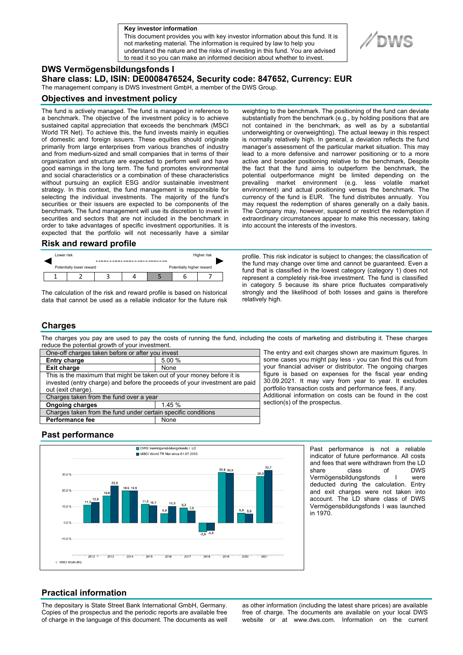**a Key investor information**

This document provides you with key investor information about this fund. It is not marketing material. The information is required by law to help you understand the nature and the risks of investing in this fund. You are advised to read it so you can make an informed decision about whether to invest.

## **DWS Vermögensbildungsfonds I**

**Share class: LD, ISIN: DE0008476524, Security code: 847652, Currency: EUR** 

The management company is DWS Investment GmbH, a member of the DWS Group.

#### **Objectives and investment policy**

The fund is actively managed. The fund is managed in reference to a benchmark. The objective of the investment policy is to achieve sustained capital appreciation that exceeds the benchmark (MSCI World TR Net). To achieve this, the fund invests mainly in equities of domestic and foreign issuers. These equities should originate primarily from large enterprises from various branches of industry and from medium-sized and small companies that in terms of their organization and structure are expected to perform well and have good earnings in the long term. The fund promotes environmental and social characteristics or a combination of these characteristics without pursuing an explicit ESG and/or sustainable investment strategy. In this context, the fund management is responsible for selecting the individual investments. The majority of the fund's securities or their issuers are expected to be components of the benchmark. The fund management will use its discretion to invest in securities and sectors that are not included in the benchmark in order to take advantages of specific investment opportunities. It is expected that the portfolio will not necessarily have a similar

#### **Risk and reward profile**

| Lower risk |                          |  | Higher risk |                           |  |  |  |
|------------|--------------------------|--|-------------|---------------------------|--|--|--|
|            | Potentially lower reward |  |             | Potentially higher reward |  |  |  |
|            |                          |  |             |                           |  |  |  |

The calculation of the risk and reward profile is based on historical data that cannot be used as a reliable indicator for the future risk weighting to the benchmark. The positioning of the fund can deviate substantially from the benchmark (e.g., by holding positions that are not contained in the benchmark, as well as by a substantial underweighting or overweighting). The actual leeway in this respect is normally relatively high. In general, a deviation reflects the fund manager's assessment of the particular market situation. This may lead to a more defensive and narrower positioning or to a more active and broader positioning relative to the benchmark, Despite the fact that the fund aims to outperform the benchmark, the potential outperformance might be limited depending on the prevailing market environment (e.g. less volatile market environment) and actual positioning versus the benchmark. The currency of the fund is EUR. The fund distributes annually. You may request the redemption of shares generally on a daily basis. The Company may, however, suspend or restrict the redemption if extraordinary circumstances appear to make this necessary, taking into account the interests of the investors.

profile. This risk indicator is subject to changes; the classification of the fund may change over time and cannot be guaranteed. Even a fund that is classified in the lowest category (category 1) does not represent a completely risk-free investment. The fund is classified in category 5 because its share price fluctuates comparatively strongly and the likelihood of both losses and gains is therefore relatively high.

#### **Charges**

The charges you pay are used to pay the costs of running the fund, including the costs of marketing and distributing it. These charges reduce the potential growth of your investment.

| One-off charges taken before or after you invest                            |        |  |  |  |
|-----------------------------------------------------------------------------|--------|--|--|--|
| <b>Entry charge</b>                                                         | 5.00 % |  |  |  |
| <b>Exit charge</b>                                                          | None   |  |  |  |
| This is the maximum that might be taken out of your money before it is      |        |  |  |  |
| invested (entry charge) and before the proceeds of your investment are paid |        |  |  |  |
| out (exit charge).                                                          |        |  |  |  |
| Charges taken from the fund over a year                                     |        |  |  |  |
| <b>Ongoing charges</b>                                                      | 145%   |  |  |  |
| Charges taken from the fund under certain specific conditions               |        |  |  |  |
| <b>Performance fee</b>                                                      | None   |  |  |  |
|                                                                             |        |  |  |  |

The entry and exit charges shown are maximum figures. In some cases you might pay less - you can find this out from your financial adviser or distributor. The ongoing charges figure is based on expenses for the fiscal year ending 30.09.2021. It may vary from year to year. It excludes portfolio transaction costs and performance fees, if any. Additional information on costs can be found in the cost section(s) of the prospectus.

### **Past performance**



Past performance is not a reliable indicator of future performance. All costs and fees that were withdrawn from the LD share class of DWS Vermögensbildungsfonds I were deducted during the calculation. Entry and exit charges were not taken into account. The LD share class of DWS Vermögensbildungsfonds I was launched in 1970.

# **Practical information**

The depositary is State Street Bank International GmbH, Germany. Copies of the prospectus and the periodic reports are available free of charge in the language of this document. The documents as well as other information (including the latest share prices) are available free of charge. The documents are available on your local DWS website or at www.dws.com. Information on the current